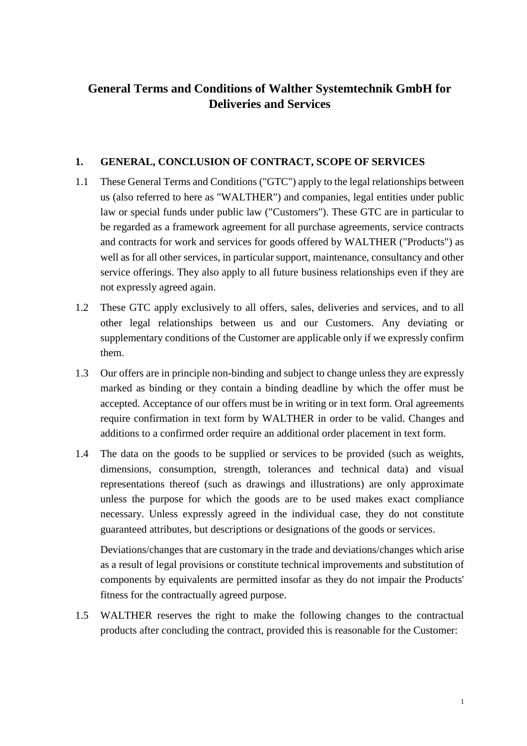# **General Terms and Conditions of Walther Systemtechnik GmbH for Deliveries and Services**

### **1. GENERAL, CONCLUSION OF CONTRACT, SCOPE OF SERVICES**

- 1.1 These General Terms and Conditions ("GTC") apply to the legal relationships between us (also referred to here as "WALTHER") and companies, legal entities under public law or special funds under public law ("Customers"). These GTC are in particular to be regarded as a framework agreement for all purchase agreements, service contracts and contracts for work and services for goods offered by WALTHER ("Products") as well as for all other services, in particular support, maintenance, consultancy and other service offerings. They also apply to all future business relationships even if they are not expressly agreed again.
- 1.2 These GTC apply exclusively to all offers, sales, deliveries and services, and to all other legal relationships between us and our Customers. Any deviating or supplementary conditions of the Customer are applicable only if we expressly confirm them.
- 1.3 Our offers are in principle non-binding and subject to change unless they are expressly marked as binding or they contain a binding deadline by which the offer must be accepted. Acceptance of our offers must be in writing or in text form. Oral agreements require confirmation in text form by WALTHER in order to be valid. Changes and additions to a confirmed order require an additional order placement in text form.
- 1.4 The data on the goods to be supplied or services to be provided (such as weights, dimensions, consumption, strength, tolerances and technical data) and visual representations thereof (such as drawings and illustrations) are only approximate unless the purpose for which the goods are to be used makes exact compliance necessary. Unless expressly agreed in the individual case, they do not constitute guaranteed attributes, but descriptions or designations of the goods or services.

Deviations/changes that are customary in the trade and deviations/changes which arise as a result of legal provisions or constitute technical improvements and substitution of components by equivalents are permitted insofar as they do not impair the Products' fitness for the contractually agreed purpose.

<span id="page-0-0"></span>1.5 WALTHER reserves the right to make the following changes to the contractual products after concluding the contract, provided this is reasonable for the Customer: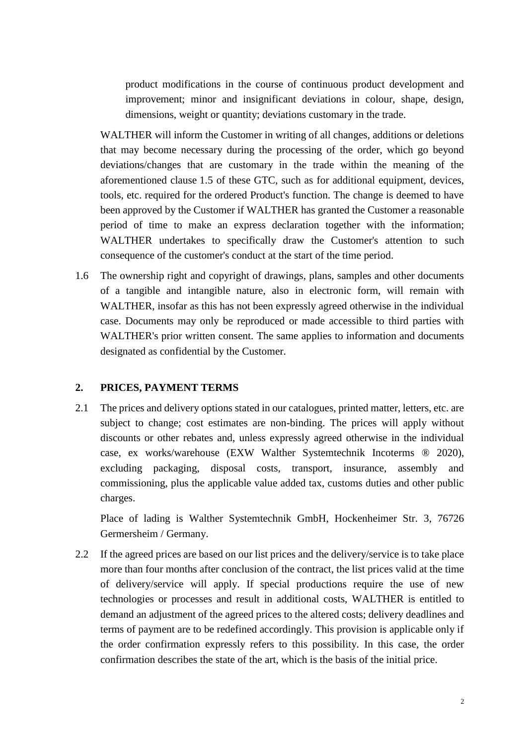product modifications in the course of continuous product development and improvement; minor and insignificant deviations in colour, shape, design, dimensions, weight or quantity; deviations customary in the trade.

WALTHER will inform the Customer in writing of all changes, additions or deletions that may become necessary during the processing of the order, which go beyond deviations/changes that are customary in the trade within the meaning of the aforementioned clause [1.5](#page-0-0) of these GTC, such as for additional equipment, devices, tools, etc. required for the ordered Product's function. The change is deemed to have been approved by the Customer if WALTHER has granted the Customer a reasonable period of time to make an express declaration together with the information; WALTHER undertakes to specifically draw the Customer's attention to such consequence of the customer's conduct at the start of the time period.

1.6 The ownership right and copyright of drawings, plans, samples and other documents of a tangible and intangible nature, also in electronic form, will remain with WALTHER, insofar as this has not been expressly agreed otherwise in the individual case. Documents may only be reproduced or made accessible to third parties with WALTHER's prior written consent. The same applies to information and documents designated as confidential by the Customer.

### **2. PRICES, PAYMENT TERMS**

2.1 The prices and delivery options stated in our catalogues, printed matter, letters, etc. are subject to change; cost estimates are non-binding. The prices will apply without discounts or other rebates and, unless expressly agreed otherwise in the individual case, ex works/warehouse (EXW Walther Systemtechnik Incoterms ® 2020), excluding packaging, disposal costs, transport, insurance, assembly and commissioning, plus the applicable value added tax, customs duties and other public charges.

Place of lading is Walther Systemtechnik GmbH, Hockenheimer Str. 3, 76726 Germersheim / Germany.

2.2 If the agreed prices are based on our list prices and the delivery/service is to take place more than four months after conclusion of the contract, the list prices valid at the time of delivery/service will apply. If special productions require the use of new technologies or processes and result in additional costs, WALTHER is entitled to demand an adjustment of the agreed prices to the altered costs; delivery deadlines and terms of payment are to be redefined accordingly. This provision is applicable only if the order confirmation expressly refers to this possibility. In this case, the order confirmation describes the state of the art, which is the basis of the initial price.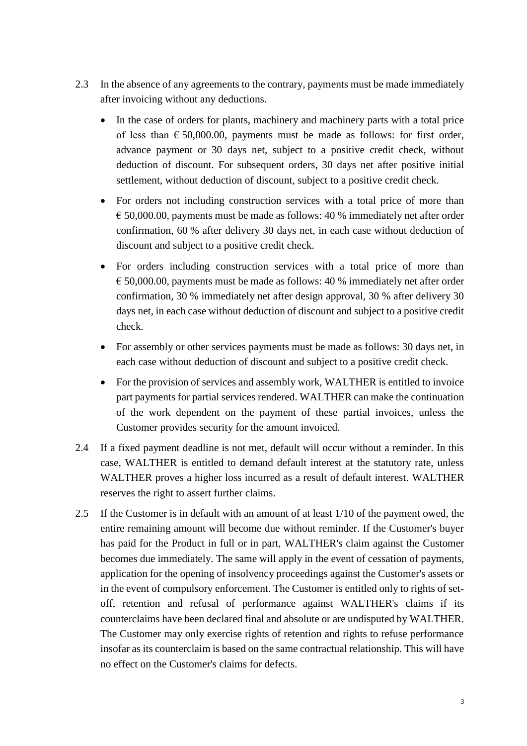- 2.3 In the absence of any agreements to the contrary, payments must be made immediately after invoicing without any deductions.
	- In the case of orders for plants, machinery and machinery parts with a total price of less than  $\epsilon$  50,000.00, payments must be made as follows: for first order, advance payment or 30 days net, subject to a positive credit check, without deduction of discount. For subsequent orders, 30 days net after positive initial settlement, without deduction of discount, subject to a positive credit check.
	- For orders not including construction services with a total price of more than  $\epsilon$  50,000.00, payments must be made as follows: 40 % immediately net after order confirmation, 60 % after delivery 30 days net, in each case without deduction of discount and subject to a positive credit check.
	- For orders including construction services with a total price of more than  $\epsilon$  50,000.00, payments must be made as follows: 40 % immediately net after order confirmation, 30 % immediately net after design approval, 30 % after delivery 30 days net, in each case without deduction of discount and subject to a positive credit check.
	- For assembly or other services payments must be made as follows: 30 days net, in each case without deduction of discount and subject to a positive credit check.
	- For the provision of services and assembly work, WALTHER is entitled to invoice part payments for partial services rendered. WALTHER can make the continuation of the work dependent on the payment of these partial invoices, unless the Customer provides security for the amount invoiced.
- 2.4 If a fixed payment deadline is not met, default will occur without a reminder. In this case, WALTHER is entitled to demand default interest at the statutory rate, unless WALTHER proves a higher loss incurred as a result of default interest. WALTHER reserves the right to assert further claims.
- 2.5 If the Customer is in default with an amount of at least 1/10 of the payment owed, the entire remaining amount will become due without reminder. If the Customer's buyer has paid for the Product in full or in part, WALTHER's claim against the Customer becomes due immediately. The same will apply in the event of cessation of payments, application for the opening of insolvency proceedings against the Customer's assets or in the event of compulsory enforcement. The Customer is entitled only to rights of setoff, retention and refusal of performance against WALTHER's claims if its counterclaims have been declared final and absolute or are undisputed by WALTHER. The Customer may only exercise rights of retention and rights to refuse performance insofar as its counterclaim is based on the same contractual relationship. This will have no effect on the Customer's claims for defects.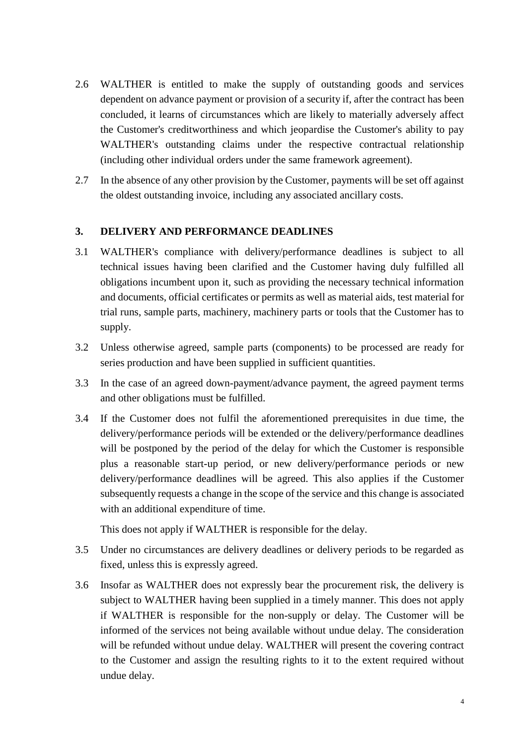- 2.6 WALTHER is entitled to make the supply of outstanding goods and services dependent on advance payment or provision of a security if, after the contract has been concluded, it learns of circumstances which are likely to materially adversely affect the Customer's creditworthiness and which jeopardise the Customer's ability to pay WALTHER's outstanding claims under the respective contractual relationship (including other individual orders under the same framework agreement).
- 2.7 In the absence of any other provision by the Customer, payments will be set off against the oldest outstanding invoice, including any associated ancillary costs.

### **3. DELIVERY AND PERFORMANCE DEADLINES**

- 3.1 WALTHER's compliance with delivery/performance deadlines is subject to all technical issues having been clarified and the Customer having duly fulfilled all obligations incumbent upon it, such as providing the necessary technical information and documents, official certificates or permits as well as material aids, test material for trial runs, sample parts, machinery, machinery parts or tools that the Customer has to supply.
- 3.2 Unless otherwise agreed, sample parts (components) to be processed are ready for series production and have been supplied in sufficient quantities.
- 3.3 In the case of an agreed down-payment/advance payment, the agreed payment terms and other obligations must be fulfilled.
- 3.4 If the Customer does not fulfil the aforementioned prerequisites in due time, the delivery/performance periods will be extended or the delivery/performance deadlines will be postponed by the period of the delay for which the Customer is responsible plus a reasonable start-up period, or new delivery/performance periods or new delivery/performance deadlines will be agreed. This also applies if the Customer subsequently requests a change in the scope of the service and this change is associated with an additional expenditure of time.

This does not apply if WALTHER is responsible for the delay.

- 3.5 Under no circumstances are delivery deadlines or delivery periods to be regarded as fixed, unless this is expressly agreed.
- 3.6 Insofar as WALTHER does not expressly bear the procurement risk, the delivery is subject to WALTHER having been supplied in a timely manner. This does not apply if WALTHER is responsible for the non-supply or delay. The Customer will be informed of the services not being available without undue delay. The consideration will be refunded without undue delay. WALTHER will present the covering contract to the Customer and assign the resulting rights to it to the extent required without undue delay.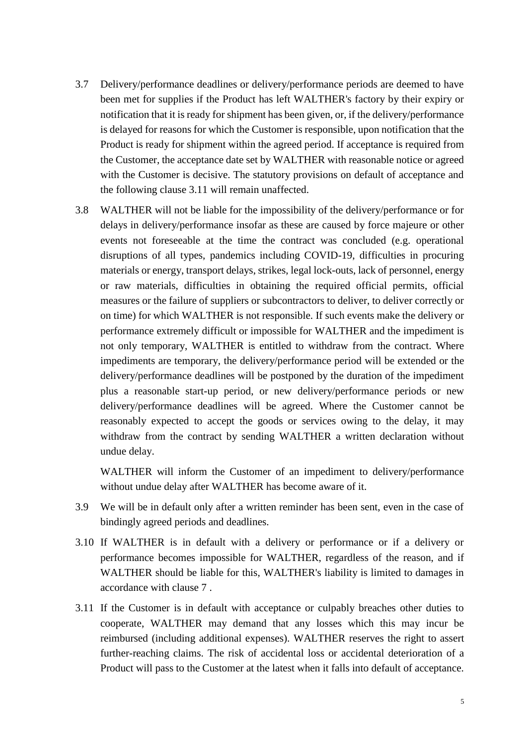- 3.7 Delivery/performance deadlines or delivery/performance periods are deemed to have been met for supplies if the Product has left WALTHER's factory by their expiry or notification that it is ready for shipment has been given, or, if the delivery/performance is delayed for reasons for which the Customer is responsible, upon notification that the Product is ready for shipment within the agreed period. If acceptance is required from the Customer, the acceptance date set by WALTHER with reasonable notice or agreed with the Customer is decisive. The statutory provisions on default of acceptance and the following clause [3.11](#page-4-0) will remain unaffected.
- 3.8 WALTHER will not be liable for the impossibility of the delivery/performance or for delays in delivery/performance insofar as these are caused by force majeure or other events not foreseeable at the time the contract was concluded (e.g. operational disruptions of all types, pandemics including COVID-19, difficulties in procuring materials or energy, transport delays, strikes, legal lock-outs, lack of personnel, energy or raw materials, difficulties in obtaining the required official permits, official measures or the failure of suppliers or subcontractors to deliver, to deliver correctly or on time) for which WALTHER is not responsible. If such events make the delivery or performance extremely difficult or impossible for WALTHER and the impediment is not only temporary, WALTHER is entitled to withdraw from the contract. Where impediments are temporary, the delivery/performance period will be extended or the delivery/performance deadlines will be postponed by the duration of the impediment plus a reasonable start-up period, or new delivery/performance periods or new delivery/performance deadlines will be agreed. Where the Customer cannot be reasonably expected to accept the goods or services owing to the delay, it may withdraw from the contract by sending WALTHER a written declaration without undue delay.

WALTHER will inform the Customer of an impediment to delivery/performance without undue delay after WALTHER has become aware of it.

- 3.9 We will be in default only after a written reminder has been sent, even in the case of bindingly agreed periods and deadlines.
- 3.10 If WALTHER is in default with a delivery or performance or if a delivery or performance becomes impossible for WALTHER, regardless of the reason, and if WALTHER should be liable for this, WALTHER's liability is limited to damages in accordance with clause [7](#page-9-0) .
- <span id="page-4-0"></span>3.11 If the Customer is in default with acceptance or culpably breaches other duties to cooperate, WALTHER may demand that any losses which this may incur be reimbursed (including additional expenses). WALTHER reserves the right to assert further-reaching claims. The risk of accidental loss or accidental deterioration of a Product will pass to the Customer at the latest when it falls into default of acceptance.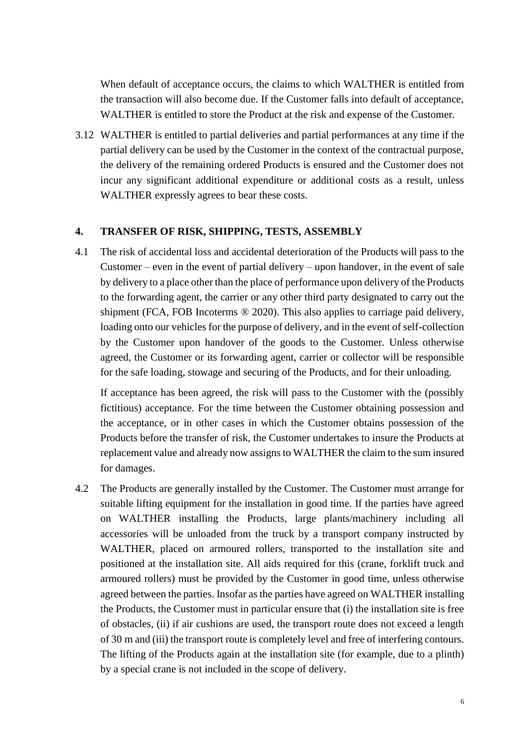When default of acceptance occurs, the claims to which WALTHER is entitled from the transaction will also become due. If the Customer falls into default of acceptance, WALTHER is entitled to store the Product at the risk and expense of the Customer.

3.12 WALTHER is entitled to partial deliveries and partial performances at any time if the partial delivery can be used by the Customer in the context of the contractual purpose, the delivery of the remaining ordered Products is ensured and the Customer does not incur any significant additional expenditure or additional costs as a result, unless WALTHER expressly agrees to bear these costs.

#### **4. TRANSFER OF RISK, SHIPPING, TESTS, ASSEMBLY**

4.1 The risk of accidental loss and accidental deterioration of the Products will pass to the Customer – even in the event of partial delivery – upon handover, in the event of sale by delivery to a place other than the place of performance upon delivery of the Products to the forwarding agent, the carrier or any other third party designated to carry out the shipment (FCA, FOB Incoterms ® 2020). This also applies to carriage paid delivery, loading onto our vehicles for the purpose of delivery, and in the event of self-collection by the Customer upon handover of the goods to the Customer. Unless otherwise agreed, the Customer or its forwarding agent, carrier or collector will be responsible for the safe loading, stowage and securing of the Products, and for their unloading.

If acceptance has been agreed, the risk will pass to the Customer with the (possibly fictitious) acceptance. For the time between the Customer obtaining possession and the acceptance, or in other cases in which the Customer obtains possession of the Products before the transfer of risk, the Customer undertakes to insure the Products at replacement value and already now assigns to WALTHER the claim to the sum insured for damages.

4.2 The Products are generally installed by the Customer. The Customer must arrange for suitable lifting equipment for the installation in good time. If the parties have agreed on WALTHER installing the Products, large plants/machinery including all accessories will be unloaded from the truck by a transport company instructed by WALTHER, placed on armoured rollers, transported to the installation site and positioned at the installation site. All aids required for this (crane, forklift truck and armoured rollers) must be provided by the Customer in good time, unless otherwise agreed between the parties. Insofar as the parties have agreed on WALTHER installing the Products, the Customer must in particular ensure that (i) the installation site is free of obstacles, (ii) if air cushions are used, the transport route does not exceed a length of 30 m and (iii) the transport route is completely level and free of interfering contours. The lifting of the Products again at the installation site (for example, due to a plinth) by a special crane is not included in the scope of delivery.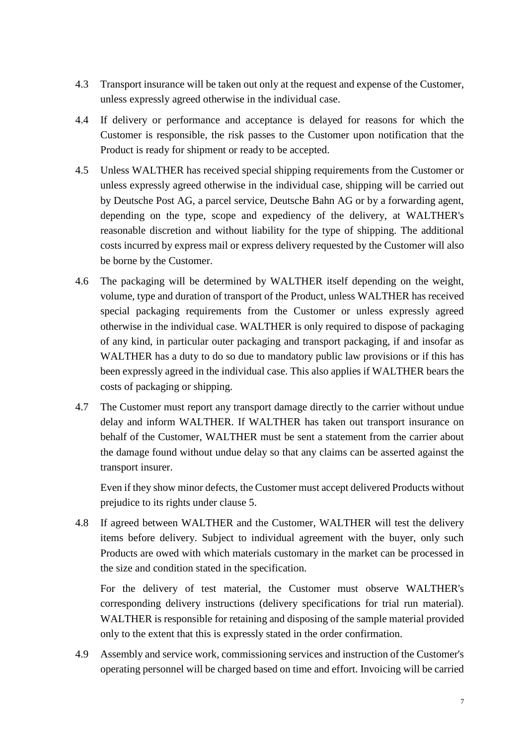- 4.3 Transport insurance will be taken out only at the request and expense of the Customer, unless expressly agreed otherwise in the individual case.
- 4.4 If delivery or performance and acceptance is delayed for reasons for which the Customer is responsible, the risk passes to the Customer upon notification that the Product is ready for shipment or ready to be accepted.
- 4.5 Unless WALTHER has received special shipping requirements from the Customer or unless expressly agreed otherwise in the individual case, shipping will be carried out by Deutsche Post AG, a parcel service, Deutsche Bahn AG or by a forwarding agent, depending on the type, scope and expediency of the delivery, at WALTHER's reasonable discretion and without liability for the type of shipping. The additional costs incurred by express mail or express delivery requested by the Customer will also be borne by the Customer.
- 4.6 The packaging will be determined by WALTHER itself depending on the weight, volume, type and duration of transport of the Product, unless WALTHER has received special packaging requirements from the Customer or unless expressly agreed otherwise in the individual case. WALTHER is only required to dispose of packaging of any kind, in particular outer packaging and transport packaging, if and insofar as WALTHER has a duty to do so due to mandatory public law provisions or if this has been expressly agreed in the individual case. This also applies if WALTHER bears the costs of packaging or shipping.
- 4.7 The Customer must report any transport damage directly to the carrier without undue delay and inform WALTHER. If WALTHER has taken out transport insurance on behalf of the Customer, WALTHER must be sent a statement from the carrier about the damage found without undue delay so that any claims can be asserted against the transport insurer.

Even if they show minor defects, the Customer must accept delivered Products without prejudice to its rights under clause [5.](#page-7-0)

4.8 If agreed between WALTHER and the Customer, WALTHER will test the delivery items before delivery. Subject to individual agreement with the buyer, only such Products are owed with which materials customary in the market can be processed in the size and condition stated in the specification.

For the delivery of test material, the Customer must observe WALTHER's corresponding delivery instructions (delivery specifications for trial run material). WALTHER is responsible for retaining and disposing of the sample material provided only to the extent that this is expressly stated in the order confirmation.

4.9 Assembly and service work, commissioning services and instruction of the Customer's operating personnel will be charged based on time and effort. Invoicing will be carried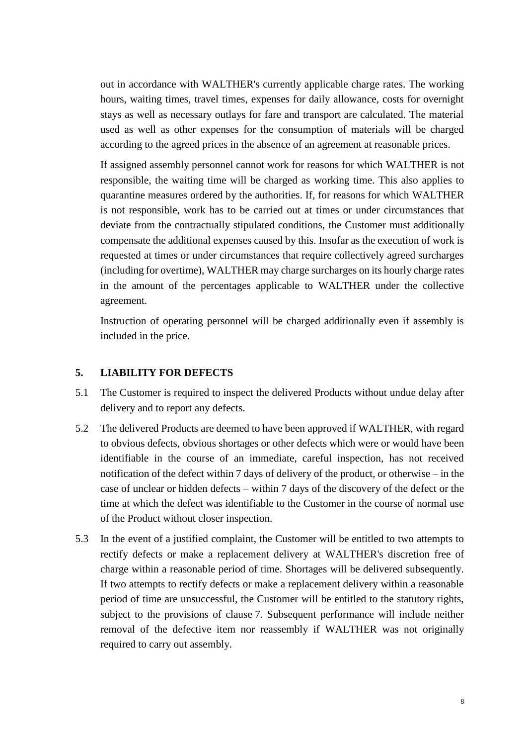out in accordance with WALTHER's currently applicable charge rates. The working hours, waiting times, travel times, expenses for daily allowance, costs for overnight stays as well as necessary outlays for fare and transport are calculated. The material used as well as other expenses for the consumption of materials will be charged according to the agreed prices in the absence of an agreement at reasonable prices.

If assigned assembly personnel cannot work for reasons for which WALTHER is not responsible, the waiting time will be charged as working time. This also applies to quarantine measures ordered by the authorities. If, for reasons for which WALTHER is not responsible, work has to be carried out at times or under circumstances that deviate from the contractually stipulated conditions, the Customer must additionally compensate the additional expenses caused by this. Insofar as the execution of work is requested at times or under circumstances that require collectively agreed surcharges (including for overtime), WALTHER may charge surcharges on its hourly charge rates in the amount of the percentages applicable to WALTHER under the collective agreement.

Instruction of operating personnel will be charged additionally even if assembly is included in the price.

### <span id="page-7-0"></span>**5. LIABILITY FOR DEFECTS**

- 5.1 The Customer is required to inspect the delivered Products without undue delay after delivery and to report any defects.
- 5.2 The delivered Products are deemed to have been approved if WALTHER, with regard to obvious defects, obvious shortages or other defects which were or would have been identifiable in the course of an immediate, careful inspection, has not received notification of the defect within 7 days of delivery of the product, or otherwise – in the case of unclear or hidden defects – within 7 days of the discovery of the defect or the time at which the defect was identifiable to the Customer in the course of normal use of the Product without closer inspection.
- 5.3 In the event of a justified complaint, the Customer will be entitled to two attempts to rectify defects or make a replacement delivery at WALTHER's discretion free of charge within a reasonable period of time. Shortages will be delivered subsequently. If two attempts to rectify defects or make a replacement delivery within a reasonable period of time are unsuccessful, the Customer will be entitled to the statutory rights, subject to the provisions of clause [7.](#page-9-0) Subsequent performance will include neither removal of the defective item nor reassembly if WALTHER was not originally required to carry out assembly.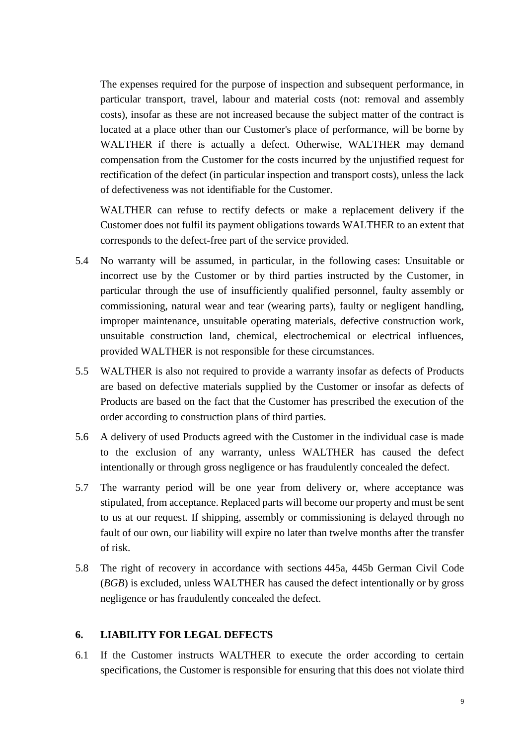The expenses required for the purpose of inspection and subsequent performance, in particular transport, travel, labour and material costs (not: removal and assembly costs), insofar as these are not increased because the subject matter of the contract is located at a place other than our Customer's place of performance, will be borne by WALTHER if there is actually a defect. Otherwise, WALTHER may demand compensation from the Customer for the costs incurred by the unjustified request for rectification of the defect (in particular inspection and transport costs), unless the lack of defectiveness was not identifiable for the Customer.

WALTHER can refuse to rectify defects or make a replacement delivery if the Customer does not fulfil its payment obligations towards WALTHER to an extent that corresponds to the defect-free part of the service provided.

- 5.4 No warranty will be assumed, in particular, in the following cases: Unsuitable or incorrect use by the Customer or by third parties instructed by the Customer, in particular through the use of insufficiently qualified personnel, faulty assembly or commissioning, natural wear and tear (wearing parts), faulty or negligent handling, improper maintenance, unsuitable operating materials, defective construction work, unsuitable construction land, chemical, electrochemical or electrical influences, provided WALTHER is not responsible for these circumstances.
- 5.5 WALTHER is also not required to provide a warranty insofar as defects of Products are based on defective materials supplied by the Customer or insofar as defects of Products are based on the fact that the Customer has prescribed the execution of the order according to construction plans of third parties.
- 5.6 A delivery of used Products agreed with the Customer in the individual case is made to the exclusion of any warranty, unless WALTHER has caused the defect intentionally or through gross negligence or has fraudulently concealed the defect.
- 5.7 The warranty period will be one year from delivery or, where acceptance was stipulated, from acceptance. Replaced parts will become our property and must be sent to us at our request. If shipping, assembly or commissioning is delayed through no fault of our own, our liability will expire no later than twelve months after the transfer of risk.
- 5.8 The right of recovery in accordance with sections 445a, 445b German Civil Code (*BGB*) is excluded, unless WALTHER has caused the defect intentionally or by gross negligence or has fraudulently concealed the defect.

#### **6. LIABILITY FOR LEGAL DEFECTS**

6.1 If the Customer instructs WALTHER to execute the order according to certain specifications, the Customer is responsible for ensuring that this does not violate third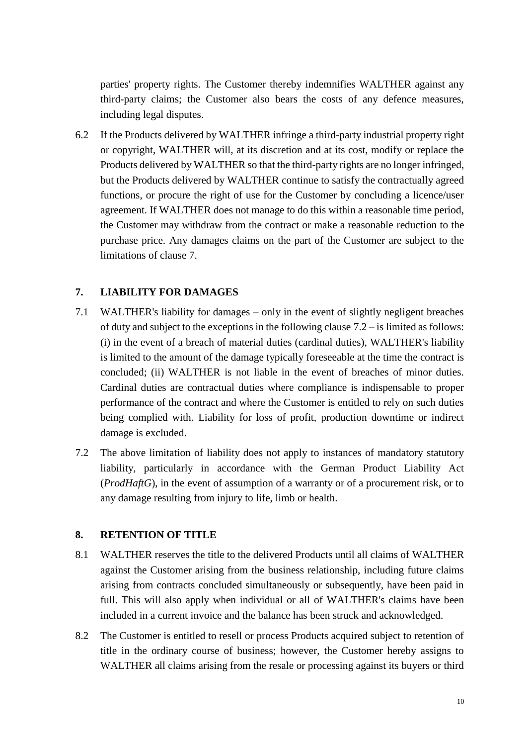parties' property rights. The Customer thereby indemnifies WALTHER against any third-party claims; the Customer also bears the costs of any defence measures, including legal disputes.

6.2 If the Products delivered by WALTHER infringe a third-party industrial property right or copyright, WALTHER will, at its discretion and at its cost, modify or replace the Products delivered by WALTHER so that the third-party rights are no longer infringed, but the Products delivered by WALTHER continue to satisfy the contractually agreed functions, or procure the right of use for the Customer by concluding a licence/user agreement. If WALTHER does not manage to do this within a reasonable time period, the Customer may withdraw from the contract or make a reasonable reduction to the purchase price. Any damages claims on the part of the Customer are subject to the limitations of clause [7.](#page-9-0)

## <span id="page-9-0"></span>**7. LIABILITY FOR DAMAGES**

- 7.1 WALTHER's liability for damages only in the event of slightly negligent breaches of duty and subject to the exceptions in the following clause [7.2](#page-9-1) – is limited as follows: (i) in the event of a breach of material duties (cardinal duties), WALTHER's liability is limited to the amount of the damage typically foreseeable at the time the contract is concluded; (ii) WALTHER is not liable in the event of breaches of minor duties. Cardinal duties are contractual duties where compliance is indispensable to proper performance of the contract and where the Customer is entitled to rely on such duties being complied with. Liability for loss of profit, production downtime or indirect damage is excluded.
- <span id="page-9-1"></span>7.2 The above limitation of liability does not apply to instances of mandatory statutory liability, particularly in accordance with the German Product Liability Act (*ProdHaftG*), in the event of assumption of a warranty or of a procurement risk, or to any damage resulting from injury to life, limb or health.

### **8. RETENTION OF TITLE**

- 8.1 WALTHER reserves the title to the delivered Products until all claims of WALTHER against the Customer arising from the business relationship, including future claims arising from contracts concluded simultaneously or subsequently, have been paid in full. This will also apply when individual or all of WALTHER's claims have been included in a current invoice and the balance has been struck and acknowledged.
- 8.2 The Customer is entitled to resell or process Products acquired subject to retention of title in the ordinary course of business; however, the Customer hereby assigns to WALTHER all claims arising from the resale or processing against its buyers or third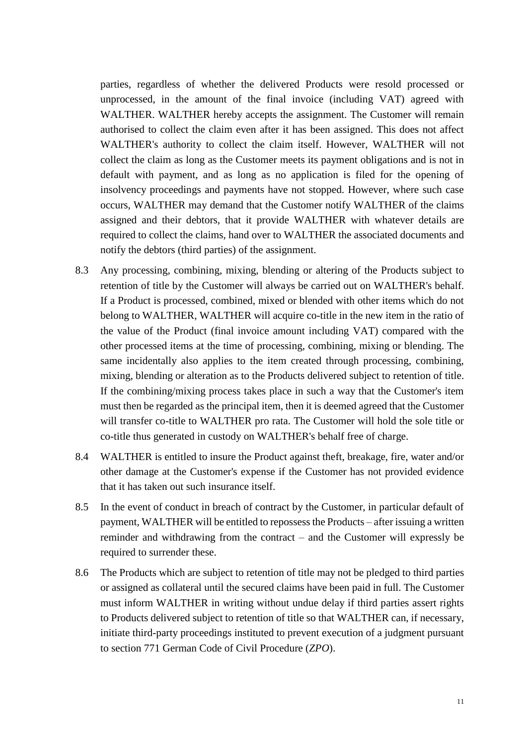parties, regardless of whether the delivered Products were resold processed or unprocessed, in the amount of the final invoice (including VAT) agreed with WALTHER. WALTHER hereby accepts the assignment. The Customer will remain authorised to collect the claim even after it has been assigned. This does not affect WALTHER's authority to collect the claim itself. However, WALTHER will not collect the claim as long as the Customer meets its payment obligations and is not in default with payment, and as long as no application is filed for the opening of insolvency proceedings and payments have not stopped. However, where such case occurs, WALTHER may demand that the Customer notify WALTHER of the claims assigned and their debtors, that it provide WALTHER with whatever details are required to collect the claims, hand over to WALTHER the associated documents and notify the debtors (third parties) of the assignment.

- 8.3 Any processing, combining, mixing, blending or altering of the Products subject to retention of title by the Customer will always be carried out on WALTHER's behalf. If a Product is processed, combined, mixed or blended with other items which do not belong to WALTHER, WALTHER will acquire co-title in the new item in the ratio of the value of the Product (final invoice amount including VAT) compared with the other processed items at the time of processing, combining, mixing or blending. The same incidentally also applies to the item created through processing, combining, mixing, blending or alteration as to the Products delivered subject to retention of title. If the combining/mixing process takes place in such a way that the Customer's item must then be regarded as the principal item, then it is deemed agreed that the Customer will transfer co-title to WALTHER pro rata. The Customer will hold the sole title or co-title thus generated in custody on WALTHER's behalf free of charge.
- 8.4 WALTHER is entitled to insure the Product against theft, breakage, fire, water and/or other damage at the Customer's expense if the Customer has not provided evidence that it has taken out such insurance itself.
- 8.5 In the event of conduct in breach of contract by the Customer, in particular default of payment, WALTHER will be entitled to repossess the Products – after issuing a written reminder and withdrawing from the contract – and the Customer will expressly be required to surrender these.
- 8.6 The Products which are subject to retention of title may not be pledged to third parties or assigned as collateral until the secured claims have been paid in full. The Customer must inform WALTHER in writing without undue delay if third parties assert rights to Products delivered subject to retention of title so that WALTHER can, if necessary, initiate third-party proceedings instituted to prevent execution of a judgment pursuant to section 771 German Code of Civil Procedure (*ZPO*).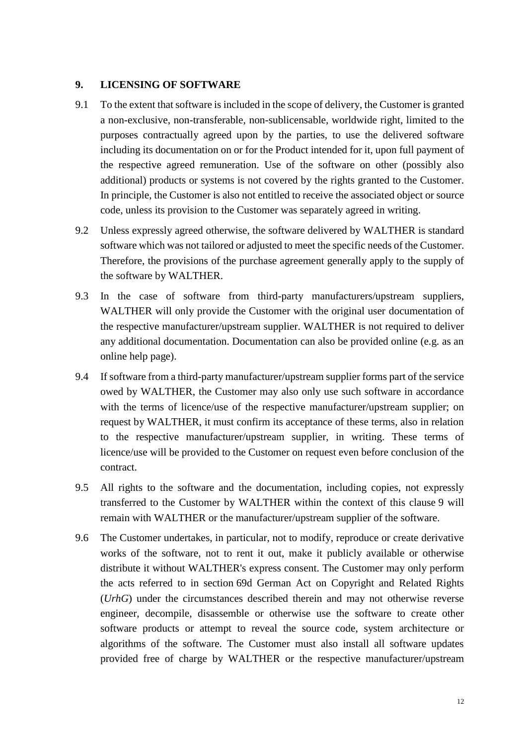#### <span id="page-11-0"></span>**9. LICENSING OF SOFTWARE**

- 9.1 To the extent that software is included in the scope of delivery, the Customer is granted a non-exclusive, non-transferable, non-sublicensable, worldwide right, limited to the purposes contractually agreed upon by the parties, to use the delivered software including its documentation on or for the Product intended for it, upon full payment of the respective agreed remuneration. Use of the software on other (possibly also additional) products or systems is not covered by the rights granted to the Customer. In principle, the Customer is also not entitled to receive the associated object or source code, unless its provision to the Customer was separately agreed in writing.
- 9.2 Unless expressly agreed otherwise, the software delivered by WALTHER is standard software which was not tailored or adjusted to meet the specific needs of the Customer. Therefore, the provisions of the purchase agreement generally apply to the supply of the software by WALTHER.
- 9.3 In the case of software from third-party manufacturers/upstream suppliers, WALTHER will only provide the Customer with the original user documentation of the respective manufacturer/upstream supplier. WALTHER is not required to deliver any additional documentation. Documentation can also be provided online (e.g. as an online help page).
- 9.4 If software from a third-party manufacturer/upstream supplier forms part of the service owed by WALTHER, the Customer may also only use such software in accordance with the terms of licence/use of the respective manufacturer/upstream supplier; on request by WALTHER, it must confirm its acceptance of these terms, also in relation to the respective manufacturer/upstream supplier, in writing. These terms of licence/use will be provided to the Customer on request even before conclusion of the contract.
- 9.5 All rights to the software and the documentation, including copies, not expressly transferred to the Customer by WALTHER within the context of this clause [9](#page-11-0) will remain with WALTHER or the manufacturer/upstream supplier of the software.
- 9.6 The Customer undertakes, in particular, not to modify, reproduce or create derivative works of the software, not to rent it out, make it publicly available or otherwise distribute it without WALTHER's express consent. The Customer may only perform the acts referred to in section 69d German Act on Copyright and Related Rights (*UrhG*) under the circumstances described therein and may not otherwise reverse engineer, decompile, disassemble or otherwise use the software to create other software products or attempt to reveal the source code, system architecture or algorithms of the software. The Customer must also install all software updates provided free of charge by WALTHER or the respective manufacturer/upstream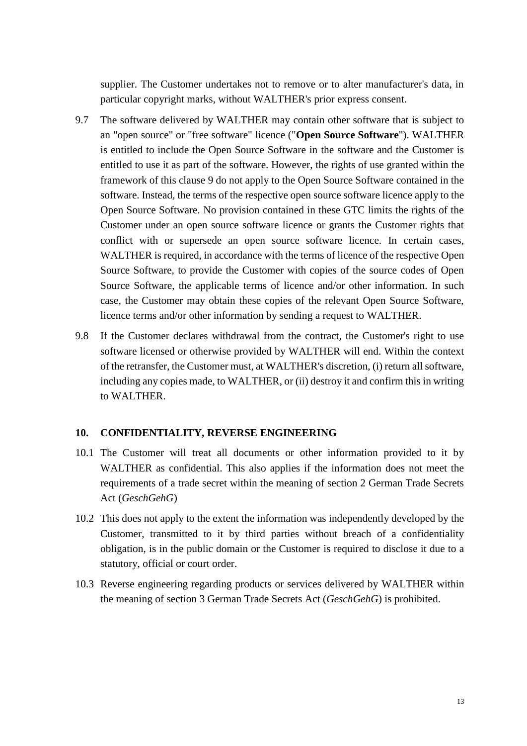supplier. The Customer undertakes not to remove or to alter manufacturer's data, in particular copyright marks, without WALTHER's prior express consent.

- 9.7 The software delivered by WALTHER may contain other software that is subject to an "open source" or "free software" licence ("**Open Source Software**"). WALTHER is entitled to include the Open Source Software in the software and the Customer is entitled to use it as part of the software. However, the rights of use granted within the framework of this clause [9](#page-11-0) do not apply to the Open Source Software contained in the software. Instead, the terms of the respective open source software licence apply to the Open Source Software. No provision contained in these GTC limits the rights of the Customer under an open source software licence or grants the Customer rights that conflict with or supersede an open source software licence. In certain cases, WALTHER is required, in accordance with the terms of licence of the respective Open Source Software, to provide the Customer with copies of the source codes of Open Source Software, the applicable terms of licence and/or other information. In such case, the Customer may obtain these copies of the relevant Open Source Software, licence terms and/or other information by sending a request to WALTHER.
- 9.8 If the Customer declares withdrawal from the contract, the Customer's right to use software licensed or otherwise provided by WALTHER will end. Within the context of the retransfer, the Customer must, at WALTHER's discretion, (i) return all software, including any copies made, to WALTHER, or (ii) destroy it and confirm this in writing to WALTHER.

#### **10. CONFIDENTIALITY, REVERSE ENGINEERING**

- 10.1 The Customer will treat all documents or other information provided to it by WALTHER as confidential. This also applies if the information does not meet the requirements of a trade secret within the meaning of section 2 German Trade Secrets Act (*GeschGehG*)
- 10.2 This does not apply to the extent the information was independently developed by the Customer, transmitted to it by third parties without breach of a confidentiality obligation, is in the public domain or the Customer is required to disclose it due to a statutory, official or court order.
- 10.3 Reverse engineering regarding products or services delivered by WALTHER within the meaning of section 3 German Trade Secrets Act (*GeschGehG*) is prohibited.